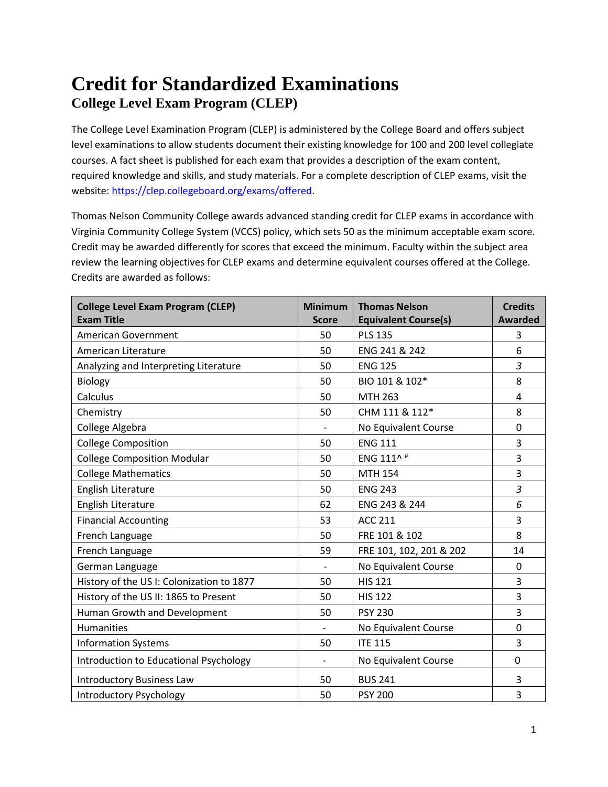## **Credit for Standardized Examinations College Level Exam Program (CLEP)**

The College Level Examination Program (CLEP) is administered by the College Board and offers subject level examinations to allow students document their existing knowledge for 100 and 200 level collegiate courses. A fact sheet is published for each exam that provides a description of the exam content, required knowledge and skills, and study materials. For a complete description of CLEP exams, visit the website[: https://clep.collegeboard.org/exams/offered.](https://clep.collegeboard.org/exams/offered)

Thomas Nelson Community College awards advanced standing credit for CLEP exams in accordance with Virginia Community College System (VCCS) policy, which sets 50 as the minimum acceptable exam score. Credit may be awarded differently for scores that exceed the minimum. Faculty within the subject area review the learning objectives for CLEP exams and determine equivalent courses offered at the College. Credits are awarded as follows:

| <b>College Level Exam Program (CLEP)</b><br><b>Exam Title</b> | <b>Minimum</b><br><b>Score</b> | <b>Thomas Nelson</b><br><b>Equivalent Course(s)</b> | <b>Credits</b><br><b>Awarded</b> |
|---------------------------------------------------------------|--------------------------------|-----------------------------------------------------|----------------------------------|
| <b>American Government</b>                                    | 50                             | <b>PLS 135</b>                                      | 3                                |
| American Literature                                           | 50                             | ENG 241 & 242                                       | 6                                |
| Analyzing and Interpreting Literature                         | 50                             | <b>ENG 125</b>                                      | $\overline{3}$                   |
| <b>Biology</b>                                                | 50                             | BIO 101 & 102*                                      | 8                                |
| Calculus                                                      | 50                             | <b>MTH 263</b>                                      | $\overline{4}$                   |
| Chemistry                                                     | 50                             | CHM 111 & 112*                                      | 8                                |
| College Algebra                                               | $\overline{\phantom{a}}$       | No Equivalent Course                                | 0                                |
| <b>College Composition</b>                                    | 50                             | <b>ENG 111</b>                                      | 3                                |
| <b>College Composition Modular</b>                            | 50                             | ENG 111^#                                           | $\overline{3}$                   |
| <b>College Mathematics</b>                                    | 50                             | <b>MTH 154</b>                                      | 3                                |
| English Literature                                            | 50                             | <b>ENG 243</b>                                      | $\overline{3}$                   |
| English Literature                                            | 62                             | ENG 243 & 244                                       | 6                                |
| <b>Financial Accounting</b>                                   | 53                             | <b>ACC 211</b>                                      | 3                                |
| French Language                                               | 50                             | FRE 101 & 102                                       | 8                                |
| French Language                                               | 59                             | FRE 101, 102, 201 & 202                             | 14                               |
| German Language                                               |                                | No Equivalent Course                                | $\mathbf 0$                      |
| History of the US I: Colonization to 1877                     | 50                             | <b>HIS 121</b>                                      | 3                                |
| History of the US II: 1865 to Present                         | 50                             | <b>HIS 122</b>                                      | 3                                |
| Human Growth and Development                                  | 50                             | <b>PSY 230</b>                                      | $\overline{3}$                   |
| <b>Humanities</b>                                             |                                | No Equivalent Course                                | $\mathbf 0$                      |
| <b>Information Systems</b>                                    | 50                             | <b>ITE 115</b>                                      | 3                                |
| Introduction to Educational Psychology                        |                                | No Equivalent Course                                | $\mathbf{0}$                     |
| <b>Introductory Business Law</b>                              | 50                             | <b>BUS 241</b>                                      | 3                                |
| <b>Introductory Psychology</b>                                | 50                             | <b>PSY 200</b>                                      | 3                                |